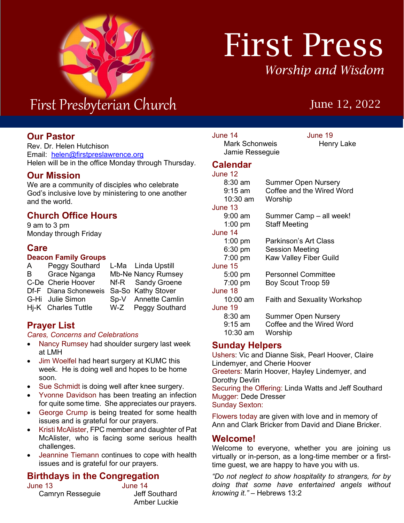

# First Press *Worship and Wisdom*

# June 12, 2022

# First Presbyterian Church

#### r<br>า **Our Pastor**

Rev. Dr. Helen Hutchison Email: [helen@firstpreslawrence.org](mailto:helen@firstpreslawrence.org) Helen will be in the office Monday through Thursday.

#### **Our Mission**

We are a community of disciples who celebrate God's inclusive love by ministering to one another and the world.

### **Church Office Hours**

9 am to 3 pm Monday through Friday

#### **Care**

#### **Deacon Family Groups**

| A   | Peggy Southard        | L-Ma Linda Upstill        |
|-----|-----------------------|---------------------------|
| B - | Grace Nganga          | <b>Mb-Ne Nancy Rumsey</b> |
|     | C-De Cherie Hoover    | Nf-R Sandy Groene         |
|     | Df-F Diana Schoneweis | Sa-So Kathy Stover        |
|     | G-Hi Julie Simon      | Sp-V Annette Camlin       |
|     | Hj-K Charles Tuttle   | W-Z Peggy Southard        |

#### **Prayer List**

#### *Cares, Concerns and Celebrations*

- Nancy Rumsey had shoulder surgery last week at LMH
- Jim Woelfel had heart surgery at KUMC this week. He is doing well and hopes to be home soon.
- Sue Schmidt is doing well after knee surgery.
- Yvonne Davidson has been treating an infection for quite some time. She appreciates our prayers.
- George Crump is being treated for some health issues and is grateful for our prayers.
- Kristi McAlister, FPC member and daughter of Pat McAlister, who is facing some serious health challenges.
- Jeannine Tiemann continues to cope with health issues and is grateful for our prayers.

### **Birthdays in the Congregation**

June 13 June 14 Camryn Resseguie

# Amber Luckie

Mark Schonweis Jamie Resseguie

June 14 June 19

#### **Calendar**

#### June 12 8:30 am Summer Open Nursery 9:15 am Coffee and the Wired Word 10:30 am Worship June 13<br>9:00 am Summer Camp – all week! 1:00 pm Staff Meeting June 14 1:00 pm Parkinson's Art Class 6:30 pm Session Meeting 7:00 pm Kaw Valley Fiber Guild June 15 5:00 pm Personnel Committee 7:00 pm Boy Scout Troop 59 June 18 10:00 am Faith and Sexuality Workshop June 19<br> $8:30 \text{ am}$ Summer Open Nursery 9:15 am Coffee and the Wired Word 10:30 am Worship **Sunday Helpers**

Ushers: Vic and Dianne Sisk, Pearl Hoover, Claire Lindemyer, and Cherie Hoover Greeters: Marin Hoover, Hayley Lindemyer, and Dorothy Devlin Securing the Offering: Linda Watts and Jeff Southard Mugger: Dede Dresser Sunday Sexton:

Flowers today are given with love and in memory of Ann and Clark Bricker from David and Diane Bricker.

#### **Welcome!**

Welcome to everyone, whether you are joining us virtually or in-person, as a long-time member or a firsttime guest, we are happy to have you with us.

*"Do not neglect to show hospitality to strangers, for by doing that some have entertained angels without knowing it."* – Hebrews 13:2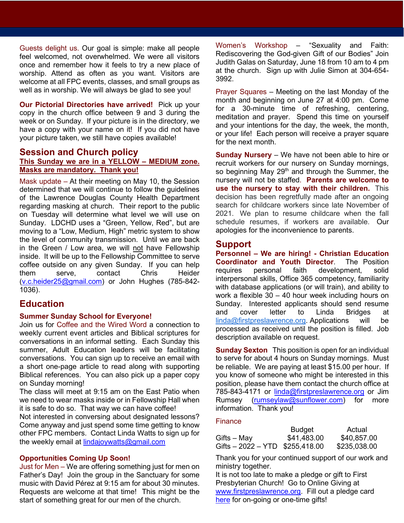Guests delight us. Our goal is simple: make all people feel welcomed, not overwhelmed. We were all visitors once and remember how it feels to try a new place of worship. Attend as often as you want. Visitors are welcome at all FPC events, classes, and small groups as well as in worship. We will always be glad to see you!

**Our Pictorial Directories have arrived!** Pick up your copy in the church office between 9 and 3 during the week or on Sunday. If your picture is in the directory, we have a copy with your name on it! If you did not have your picture taken, we still have copies available!

# **Session and Church policy**

#### **This Sunday we are in a YELLOW – MEDIUM zone. Masks are mandatory. Thank you!**

Mask update – At their meeting on May 10, the Session determined that we will continue to follow the guidelines of the Lawrence Douglas County Health Department regarding masking at church. Their report to the public on Tuesday will determine what level we will use on Sunday. LDCHD uses a "Green, Yellow, Red", but are moving to a "Low, Medium, High" metric system to show the level of community transmission. Until we are back in the Green / Low area, we will not have Fellowship inside. It will be up to the Fellowship Committee to serve coffee outside on any given Sunday. If you can help<br>them serve. contact Chris Heider serve, contact Chris [\(v.c.heider25@gmail.com\)](mailto:v.c.heider25@gmail.com) or John Hughes (785-842- 1036).

#### **Education**

#### **Summer Sunday School for Everyone!**

t conversations in an informal setting. Each Sunday this Join us for Coffee and the Wired Word a connection to weekly current event articles and Biblical scriptures for summer, Adult Education leaders will be facilitating conversations. You can sign up to receive an email with a short one-page article to read along with supporting Biblical references. You can also pick up a paper copy on Sunday morning!

The class will meet at 9:15 am on the East Patio when we need to wear masks inside or in Fellowship Hall when it is safe to do so. That way we can have coffee!

Not interested in conversing about designated lessons? Come anyway and just spend some time getting to know other FPC members. Contact Linda Watts to sign up for the weekly email at [lindajoywatts@gmail.com](mailto:lindajoywatts@gmail.com)

#### **Opportunities Coming Up Soon!**

Just for Men – We are offering something just for men on Father's Day! Join the group in the Sanctuary for some music with David Pérez at 9:15 am for about 30 minutes. Requests are welcome at that time! This might be the start of something great for our men of the church.

Women's Workshop – "Sexuality and Faith: Rediscovering the God-given Gift of our Bodies" Join Judith Galas on Saturday, June 18 from 10 am to 4 pm at the church. Sign up with Julie Simon at 304-654- 3992.

Prayer Squares – Meeting on the last Monday of the month and beginning on June 27 at 4:00 pm. Come for a 30-minute time of refreshing, centering, meditation and prayer. Spend this time on yourself and your intentions for the day, the week, the month, or your life! Each person will receive a prayer square for the next month.

**Sunday Nursery** – We have not been able to hire or recruit workers for our nursery on Sunday mornings, so beginning May  $29<sup>th</sup>$  and through the Summer, the nursery will not be staffed. **Parents are welcome to use the nursery to stay with their children.** This decision has been regretfully made after an ongoing search for childcare workers since late November of 2021. We plan to resume childcare when the fall schedule resumes, if workers are available. Our apologies for the inconvenience to parents.

#### **Support**

**Personnel – We are hiring! - Christian Education Coordinator and Youth Director**. The Position requires personal faith development, solid interpersonal skills, Office 365 competency, familiarity with database applications (or will train), and ability to work a flexible 30 – 40 hour week including hours on Sunday. Interested applicants should send resume and cover letter to Linda Bridges at [linda@firstpreslawrence.org.](mailto:linda@firstpreslawrence.org) Applications will be processed as received until the position is filled. Job description available on request.

**Sunday Sexton** This position is open for an individual to serve for about 4 hours on Sunday mornings. Must be reliable. We are paying at least \$15.00 per hour. If you know of someone who might be interested in this position, please have them contact the church office at 785-843-4171 or [linda@firstpreslawrence.org](mailto:linda@firstpreslawrence.org) or Jim Rumsey [\(rumseylaw@sunflower.com\)](mailto:rumseylaw@sunflower.com) for more information. Thank you!

#### **Finance**

|                                  | <b>Budget</b> | Actual       |
|----------------------------------|---------------|--------------|
| Gifts – May                      | \$41,483.00   | \$40,857.00  |
| Gifts $-2022 - YTD$ \$255,418.00 |               | \$235,038.00 |

Thank you for your continued support of our work and ministry together.

It is not too late to make a pledge or gift to First Presbyterian Church! Go to Online Giving at [www.firstpreslawrence.org.](http://www.firstpreslawrence.org/) Fill out a pledge card [here](https://fpclawrence.sharepoint.com/sites/FPCStaff/Shared%20Documents/Shared%20Files/Committees/Support/Finance/2022/Pledge%20Card.pdf) for on-going or one-time gifts!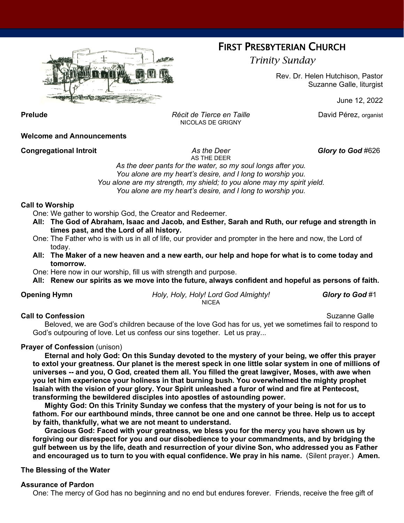

# FIRST PRESBYTERIAN CHURCH

*Trinity Sunday*

Rev. Dr. Helen Hutchison, Pastor Suzanne Galle, liturgist

June 12, 2022

**Prelude** *Récit de Tierce en Taille* David Pérez, organist NICOLAS DE GRIGNY

**Welcome and Announcements**

**Congregational Introit** *As the Deer Glory to God* #626

AS THE DEER

*As the deer pants for the water, so my soul longs after you. You alone are my heart's desire, and I long to worship you. You alone are my strength, my shield; to you alone may my spirit yield. You alone are my heart's desire, and I long to worship you.*

#### **Call to Worship**

One: We gather to worship God, the Creator and Redeemer.

- **All: The God of Abraham, Isaac and Jacob, and Esther, Sarah and Ruth, our refuge and strength in times past, and the Lord of all history.**
- One: The Father who is with us in all of life, our provider and prompter in the here and now, the Lord of today.
- **All: The Maker of a new heaven and a new earth, our help and hope for what is to come today and tomorrow.**
- One: Here now in our worship, fill us with strength and purpose.
- **All: Renew our spirits as we move into the future, always confident and hopeful as persons of faith.**

**Opening Hymn** *Holy, Holy, Holy! Lord God Almighty! Glory to God* #1 NICEA

#### **Call to Confession** Suzanne Galle

Beloved, we are God's children because of the love God has for us, yet we sometimes fail to respond to God's outpouring of love. Let us confess our sins together. Let us pray...

#### **Prayer of Confession** (unison)

**Eternal and holy God: On this Sunday devoted to the mystery of your being, we offer this prayer to extol your greatness. Our planet is the merest speck in one little solar system in one of millions of universes -- and you, O God, created them all. You filled the great lawgiver, Moses, with awe when you let him experience your holiness in that burning bush. You overwhelmed the mighty prophet Isaiah with the vision of your glory. Your Spirit unleashed a furor of wind and fire at Pentecost, transforming the bewildered disciples into apostles of astounding power.**

**Mighty God: On this Trinity Sunday we confess that the mystery of your being is not for us to fathom. For our earthbound minds, three cannot be one and one cannot be three. Help us to accept by faith, thankfully, what we are not meant to understand.**

**Gracious God: Faced with your greatness, we bless you for the mercy you have shown us by forgiving our disrespect for you and our disobedience to your commandments, and by bridging the gulf between us by the life, death and resurrection of your divine Son, who addressed you as Father and encouraged us to turn to you with equal confidence. We pray in his name.** (Silent prayer.) **Amen.**

#### **The Blessing of the Water**

#### **Assurance of Pardon**

One: The mercy of God has no beginning and no end but endures forever. Friends, receive the free gift of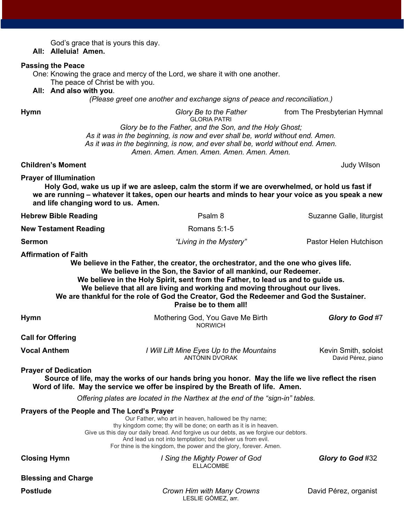| God's grace that is yours this day.<br>All: Alleluia! Amen.                             |                                                                                                                                                                                                                                                                                                                                                          |                                            |
|-----------------------------------------------------------------------------------------|----------------------------------------------------------------------------------------------------------------------------------------------------------------------------------------------------------------------------------------------------------------------------------------------------------------------------------------------------------|--------------------------------------------|
| <b>Passing the Peace</b><br>The peace of Christ be with you.<br>All: And also with you. | One: Knowing the grace and mercy of the Lord, we share it with one another.<br>(Please greet one another and exchange signs of peace and reconciliation.)                                                                                                                                                                                                |                                            |
| <b>Hymn</b>                                                                             | Glory Be to the Father                                                                                                                                                                                                                                                                                                                                   | from The Presbyterian Hymnal               |
|                                                                                         | <b>GLORIA PATRI</b><br>Glory be to the Father, and the Son, and the Holy Ghost;<br>As it was in the beginning, is now and ever shall be, world without end. Amen.<br>As it was in the beginning, is now, and ever shall be, world without end. Amen.<br>Amen, Amen, Amen, Amen, Amen, Amen, Amen,                                                        |                                            |
| <b>Children's Moment</b>                                                                |                                                                                                                                                                                                                                                                                                                                                          | <b>Judy Wilson</b>                         |
| <b>Prayer of Illumination</b><br>and life changing word to us. Amen.                    | Holy God, wake us up if we are asleep, calm the storm if we are overwhelmed, or hold us fast if<br>we are running - whatever it takes, open our hearts and minds to hear your voice as you speak a new                                                                                                                                                   |                                            |
| <b>Hebrew Bible Reading</b>                                                             | Psalm 8                                                                                                                                                                                                                                                                                                                                                  | Suzanne Galle, liturgist                   |
| <b>New Testament Reading</b>                                                            | Romans 5:1-5                                                                                                                                                                                                                                                                                                                                             |                                            |
| <b>Sermon</b>                                                                           | "Living in the Mystery"                                                                                                                                                                                                                                                                                                                                  | Pastor Helen Hutchison                     |
|                                                                                         | We believe in the Son, the Savior of all mankind, our Redeemer.<br>We believe in the Holy Spirit, sent from the Father, to lead us and to guide us.<br>We believe that all are living and working and moving throughout our lives.<br>We are thankful for the role of God the Creator, God the Redeemer and God the Sustainer.<br>Praise be to them all! |                                            |
| <b>Hymn</b>                                                                             | Mothering God, You Gave Me Birth<br><b>NORWICH</b>                                                                                                                                                                                                                                                                                                       | Glory to God #7                            |
| <b>Call for Offering</b>                                                                |                                                                                                                                                                                                                                                                                                                                                          |                                            |
| <b>Vocal Anthem</b>                                                                     | I Will Lift Mine Eyes Up to the Mountains<br><b>ANTONIN DVORAK</b>                                                                                                                                                                                                                                                                                       | Kevin Smith, soloist<br>David Pérez, piano |
| <b>Prayer of Dedication</b>                                                             | Source of life, may the works of our hands bring you honor. May the life we live reflect the risen<br>Word of life. May the service we offer be inspired by the Breath of life. Amen.                                                                                                                                                                    |                                            |
|                                                                                         | Offering plates are located in the Narthex at the end of the "sign-in" tables.                                                                                                                                                                                                                                                                           |                                            |
| Prayers of the People and The Lord's Prayer                                             | Our Father, who art in heaven, hallowed be thy name;<br>thy kingdom come; thy will be done; on earth as it is in heaven.<br>Give us this day our daily bread. And forgive us our debts, as we forgive our debtors.<br>And lead us not into temptation; but deliver us from evil.<br>For thine is the kingdom, the power and the glory, forever. Amen.    |                                            |
| <b>Closing Hymn</b>                                                                     | I Sing the Mighty Power of God<br><b>ELLACOMBE</b>                                                                                                                                                                                                                                                                                                       | Glory to God #32                           |
| <b>Blessing and Charge</b>                                                              |                                                                                                                                                                                                                                                                                                                                                          |                                            |
|                                                                                         |                                                                                                                                                                                                                                                                                                                                                          |                                            |

**Postlude** *Crown Him with Many Crowns* David Pérez, organist LESLIE GÓMEZ, arr.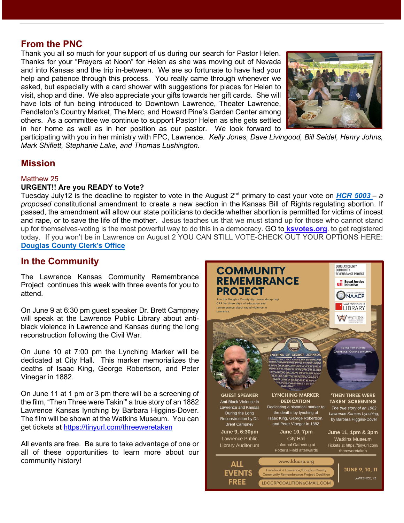#### **From the PNC**

Thank you all so much for your support of us during our search for Pastor Helen. Thanks for your "Prayers at Noon" for Helen as she was moving out of Nevada and into Kansas and the trip in-between. We are so fortunate to have had your help and patience through this process. You really came through whenever we asked, but especially with a card shower with suggestions for places for Helen to visit, shop and dine. We also appreciate your gifts towards her gift cards. She will have lots of fun being introduced to Downtown Lawrence, Theater Lawrence, Pendleton's Country Market, The Merc, and Howard Pine's Garden Center among others. As a committee we continue to support Pastor Helen as she gets settled in her home as well as in her position as our pastor. We look forward to



age is the second control of the second control of the second control of the second control of the second control of the second control of the second control of the second control of the second control of the second contro

participating with you in her ministry with FPC, Lawrence. *Kelly Jones, Dave Livingood, Bill Seidel, Henry Johns, Mark Shiflett, Stephanie Lake, and Thomas Lushington.* 

#### **Mission**

#### Matthew 25

#### **URGENT!! Are you READY to Vote?**

Tuesday July12 is the deadline to register to vote in the August 2nd primary to cast your vote on *[HCR 5003](https://linkprotect.cudasvc.com/url?a=http%3a%2f%2fkslegislature.org%2fli%2fb2021_22%2fmeasures%2fhcr5003%2f&c=E,1,-oTPLjPZ7jwBlPYKZRg7p1xFY6sudztvgguRoJBtt8SLAw_MmvHbTzOwWovwVHzOJBX-FyJ2GrqPbjsdWyQz-tGOg04vkA8ZKhGbCFIRO_Qyqw,,&typo=1) – a proposed* constitutional amendment to create a new section in the Kansas Bill of Rights regulating abortion. If passed, the amendment will allow our state politicians to decide whether abortion is permitted for victims of incest and rape, or to save the life of the mother. Jesus teaches us that we must stand up for those who cannot stand up for themselves-voting is the most powerful way to do this in a democracy. GO to **[ksvotes.org](https://linkprotect.cudasvc.com/url?a=https%3a%2f%2fwww.ksvotes.org%2fref%3fref%3dMTTP_LWVK&c=E,1,EZOi4nEgZJ_AlXphpeghoij8Bc_JPAORsmQvXb3iWLFq2gNtsBg61bYsYUXVh9Y3gOfJayBtkyFg01gKHqwsJLJMT6ZmFqvSpk9W4jWldtIA&typo=1)**. to get registered today. If you won't be in Lawrence on August 2 YOU CAN STILL VOTE-CHECK OUT YOUR OPTIONS HERE: **[Douglas County Clerk's Office](https://linkprotect.cudasvc.com/url?a=https%3a%2f%2fwww.douglascountyks.org%2fdepts%2fvoting-and-elections%2fregister-to-vote%23Link-To-Registering-or-Re-Registering-to-Vote-In-Person&c=E,1,Gut1dG33BadqfbOfN7eCQjtWoB9MzlMqJ7WRY-d0Miufh0_OeR0hyTiaZnBwLgzf6hbWko7agCwIX-h3cAjFOk-y1A02nEM9uE_4w0QE3wp7&typo=1)**

#### **In the Community**

The Lawrence Kansas Community Remembrance Project continues this week with three events for you to attend.

On June 9 at 6:30 pm guest speaker Dr. Brett Campney will speak at the Lawrence Public Library about antiblack violence in Lawrence and Kansas during the long reconstruction following the Civil War.

On June 10 at 7:00 pm the Lynching Marker will be dedicated at City Hall. This marker memorializes the deaths of Isaac King, George Robertson, and Peter Vinegar in 1882.

On June 11 at 1 pm or 3 pm there will be a screening of the film, "Then Three were Takin'" a true story of an 1882 Lawrence Kansas lynching by Barbara Higgins-Dover. The film will be shown at the Watkins Museum. You can get tickets at<https://tinyurl.com/threeweretaken>

All events are free. Be sure to take advantage of one or all of these opportunities to learn more about our community history!